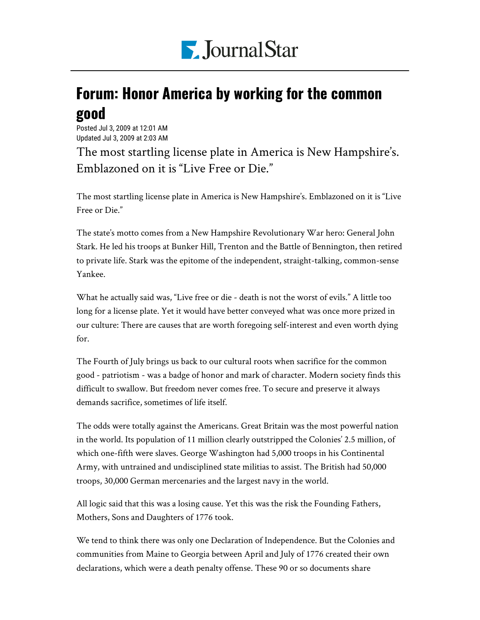

## Forum: Honor America by working for the common good

Posted Jul 3, 2009 at 12:01 AM Updated Jul 3, 2009 at 2:03 AM

The most startling license plate in America is New Hampshire's. Emblazoned on it is "Live Free or Die."

The most startling license plate in America is New Hampshire's. Emblazoned on it is "Live Free or Die."

The state's motto comes from a New Hampshire Revolutionary War hero: General John Stark. He led his troops at Bunker Hill, Trenton and the Battle of Bennington, then retired to private life. Stark was the epitome of the independent, straight-talking, common-sense Yankee.

What he actually said was, "Live free or die - death is not the worst of evils." A little too long for a license plate. Yet it would have better conveyed what was once more prized in our culture: There are causes that are worth foregoing self-interest and even worth dying for.

The Fourth of July brings us back to our cultural roots when sacrifice for the common good - patriotism - was a badge of honor and mark of character. Modern society finds this difficult to swallow. But freedom never comes free. To secure and preserve it always demands sacrifice, sometimes of life itself.

The odds were totally against the Americans. Great Britain was the most powerful nation in the world. Its population of 11 million clearly outstripped the Colonies' 2.5 million, of which one-fifth were slaves. George Washington had 5,000 troops in his Continental Army, with untrained and undisciplined state militias to assist. The British had 50,000 troops, 30,000 German mercenaries and the largest navy in the world.

All logic said that this was a losing cause. Yet this was the risk the Founding Fathers, Mothers, Sons and Daughters of 1776 took.

We tend to think there was only one Declaration of Independence. But the Colonies and communities from Maine to Georgia between April and July of 1776 created their own declarations, which were a death penalty offense. These 90 or so documents share